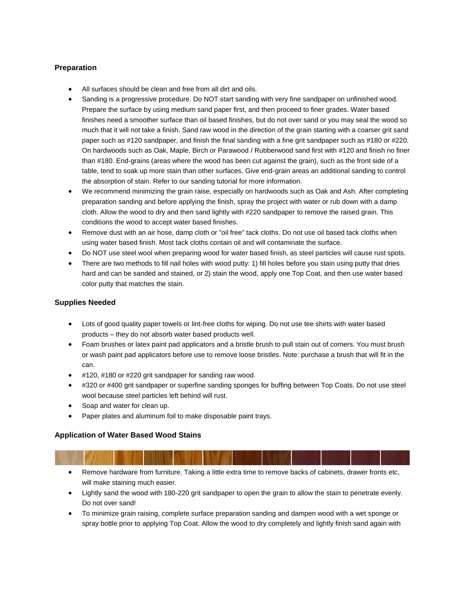## **Preparation**

- All surfaces should be clean and free from all dirt and oils.
- Sanding is a progressive procedure. Do NOT start sanding with very fine sandpaper on unfinished wood. Prepare the surface by using medium sand paper first, and then proceed to finer grades. Water based finishes need a smoother surface than oil based finishes, but do not over sand or you may seal the wood so much that it will not take a finish. Sand raw wood in the direction of the grain starting with a coarser grit sand paper such as #120 sandpaper, and finish the final sanding with a fine grit sandpaper such as #180 or #220. On hardwoods such as Oak, Maple, Birch or Parawood / Rubberwood sand first with #120 and finish no finer than #180. End-grains (areas where the wood has been cut against the grain), such as the front side of a table, tend to soak up more stain than other surfaces. Give end-grain areas an additional sanding to control the absorption of stain. Refer to our sanding tutorial for more information.
- We recommend minimizing the grain raise, especially on hardwoods such as Oak and Ash. After completing preparation sanding and before applying the finish, spray the project with water or rub down with a damp cloth. Allow the wood to dry and then sand lightly with #220 sandpaper to remove the raised grain. This conditions the wood to accept water based finishes.
- Remove dust with an air hose, damp cloth or "oil free" tack cloths. Do not use oil based tack cloths when using water based finish. Most tack cloths contain oil and will contaminate the surface.
- Do NOT use steel wool when preparing wood for water based finish, as steel particles will cause rust spots.
- There are two methods to fill nail holes with wood putty: 1) fill holes before you stain using putty that dries hard and can be sanded and stained, or 2) stain the wood, apply one Top Coat, and then use water based color putty that matches the stain.

### **Supplies Needed**

- Lots of good quality paper towels or lint-free cloths for wiping. Do not use tee shirts with water based products – they do not absorb water based products well.
- Foam brushes or latex paint pad applicators and a bristle brush to pull stain out of corners. You must brush or wash paint pad applicators before use to remove loose bristles. Note: purchase a brush that will fit in the can.
- #120, #180 or #220 grit sandpaper for sanding raw wood.
- #320 or #400 grit sandpaper or superfine sanding sponges for buffing between Top Coats. Do not use steel wool because steel particles left behind will rust.
- Soap and water for clean up.
- Paper plates and aluminum foil to make disposable paint trays.

### **Application of Water Based Wood Stains**

- Remove hardware from furniture. Taking a little extra time to remove backs of cabinets, drawer fronts etc, will make staining much easier.
- Lightly sand the wood with 180-220 grit sandpaper to open the grain to allow the stain to penetrate evenly. Do not over sand!
- To minimize grain raising, complete surface preparation sanding and dampen wood with a wet sponge or spray bottle prior to applying Top Coat. Allow the wood to dry completely and lightly finish sand again with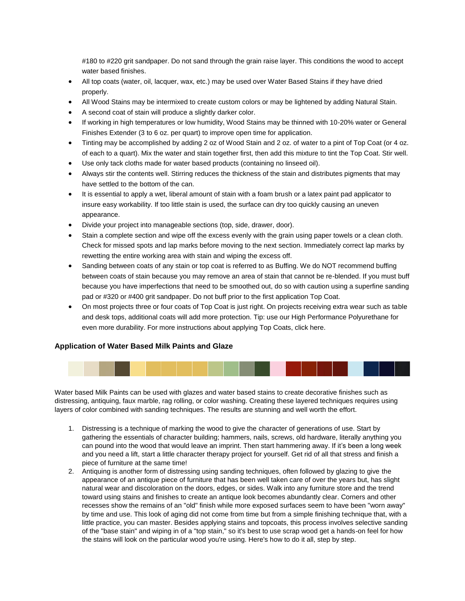#180 to #220 grit sandpaper. Do not sand through the grain raise layer. This conditions the wood to accept water based finishes.

- All top coats (water, oil, lacquer, wax, etc.) may be used over Water Based Stains if they have dried properly.
- All Wood Stains may be intermixed to create custom colors or may be lightened by adding Natural Stain.
- A second coat of stain will produce a slightly darker color.
- If working in high temperatures or low humidity, Wood Stains may be thinned with 10-20% water or General Finishes Extender (3 to 6 oz. per quart) to improve open time for application.
- Tinting may be accomplished by adding 2 oz of Wood Stain and 2 oz. of water to a pint of Top Coat (or 4 oz. of each to a quart). Mix the water and stain together first, then add this mixture to tint the Top Coat. Stir well.
- Use only tack cloths made for water based products (containing no linseed oil).
- Always stir the contents well. Stirring reduces the thickness of the stain and distributes pigments that may have settled to the bottom of the can.
- It is essential to apply a wet, liberal amount of stain with a foam brush or a latex paint pad applicator to insure easy workability. If too little stain is used, the surface can dry too quickly causing an uneven appearance.
- Divide your project into manageable sections (top, side, drawer, door).
- Stain a complete section and wipe off the excess evenly with the grain using paper towels or a clean cloth. Check for missed spots and lap marks before moving to the next section. Immediately correct lap marks by rewetting the entire working area with stain and wiping the excess off.
- Sanding between coats of any stain or top coat is referred to as Buffing. We do NOT recommend buffing between coats of stain because you may remove an area of stain that cannot be re-blended. If you must buff because you have imperfections that need to be smoothed out, do so with caution using a superfine sanding pad or #320 or #400 grit sandpaper. Do not buff prior to the first application Top Coat.
- On most projects three or four coats of Top Coat is just right. On projects receiving extra wear such as table and desk tops, additional coats will add more protection. Tip: use our High Performance Polyurethane for even more durability. For more instructions about applying Top Coats, click here.

#### **Application of Water Based Milk Paints and Glaze**



Water based Milk Paints can be used with glazes and water based stains to create decorative finishes such as distressing, antiquing, faux marble, rag rolling, or color washing. Creating these layered techniques requires using layers of color combined with sanding techniques. The results are stunning and well worth the effort.

- 1. Distressing is a technique of marking the wood to give the character of generations of use. Start by gathering the essentials of character building; hammers, nails, screws, old hardware, literally anything you can pound into the wood that would leave an imprint. Then start hammering away. If it's been a long week and you need a lift, start a little character therapy project for yourself. Get rid of all that stress and finish a piece of furniture at the same time!
- 2. Antiquing is another form of distressing using sanding techniques, often followed by glazing to give the appearance of an antique piece of furniture that has been well taken care of over the years but, has slight natural wear and discoloration on the doors, edges, or sides. Walk into any furniture store and the trend toward using stains and finishes to create an antique look becomes abundantly clear. Corners and other recesses show the remains of an "old" finish while more exposed surfaces seem to have been "worn away" by time and use. This look of aging did not come from time but from a simple finishing technique that, with a little practice, you can master. Besides applying stains and topcoats, this process involves selective sanding of the "base stain" and wiping in of a "top stain," so it's best to use scrap wood get a hands-on feel for how the stains will look on the particular wood you're using. Here's how to do it all, step by step.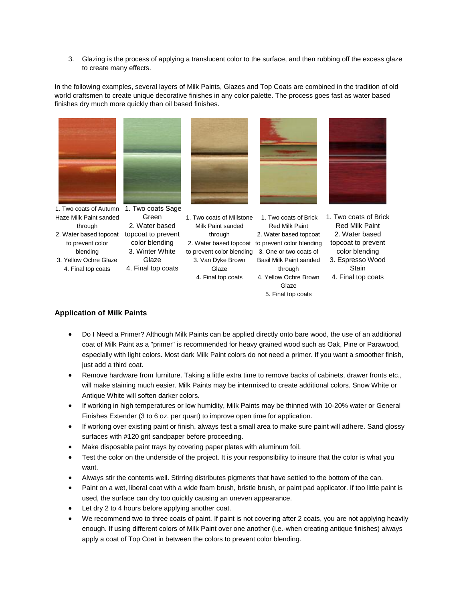3. Glazing is the process of applying a translucent color to the surface, and then rubbing off the excess glaze to create many effects.

In the following examples, several layers of Milk Paints, Glazes and Top Coats are combined in the tradition of old world craftsmen to create unique decorative finishes in any color palette. The process goes fast as water based finishes dry much more quickly than oil based finishes.



1. Two coats of Autumn 1. Two coats Sage Haze Milk Paint sanded through 2. Water based topcoat topcoat to prevent to prevent color blending 3. Yellow Ochre Glaze 4. Final top coats



Green 2. Water based

color blending 3. Winter White Glaze

4. Final top coats

1. Two coats of Millstone 1. Two coats of Brick 1. Two coats of Brick Milk Paint sanded through 2. Water based topcoat to prevent color blending topcoat to prevent to prevent color blending 3. One or two coats of 3. Van Dyke Brown **Glaze** 4. Final top coats



Red Milk Paint 2. Water based topcoat Basil Milk Paint sanded through 4. Yellow Ochre Brown **Glaze** 5. Final top coats



Red Milk Paint 2. Water based color blending 3. Espresso Wood **Stain** 4. Final top coats

# **Application of Milk Paints**

- Do I Need a Primer? Although Milk Paints can be applied directly onto bare wood, the use of an additional coat of Milk Paint as a "primer" is recommended for heavy grained wood such as Oak, Pine or Parawood, especially with light colors. Most dark Milk Paint colors do not need a primer. If you want a smoother finish, just add a third coat.
- Remove hardware from furniture. Taking a little extra time to remove backs of cabinets, drawer fronts etc., will make staining much easier. Milk Paints may be intermixed to create additional colors. Snow White or Antique White will soften darker colors.
- If working in high temperatures or low humidity, Milk Paints may be thinned with 10-20% water or General Finishes Extender (3 to 6 oz. per quart) to improve open time for application.
- If working over existing paint or finish, always test a small area to make sure paint will adhere. Sand glossy surfaces with #120 grit sandpaper before proceeding.
- Make disposable paint trays by covering paper plates with aluminum foil.
- Test the color on the underside of the project. It is your responsibility to insure that the color is what you want.
- Always stir the contents well. Stirring distributes pigments that have settled to the bottom of the can.
- Paint on a wet, liberal coat with a wide foam brush, bristle brush, or paint pad applicator. If too little paint is used, the surface can dry too quickly causing an uneven appearance.
- Let dry 2 to 4 hours before applying another coat.
- We recommend two to three coats of paint. If paint is not covering after 2 coats, you are not applying heavily enough. If using different colors of Milk Paint over one another (i.e.-when creating antique finishes) always apply a coat of Top Coat in between the colors to prevent color blending.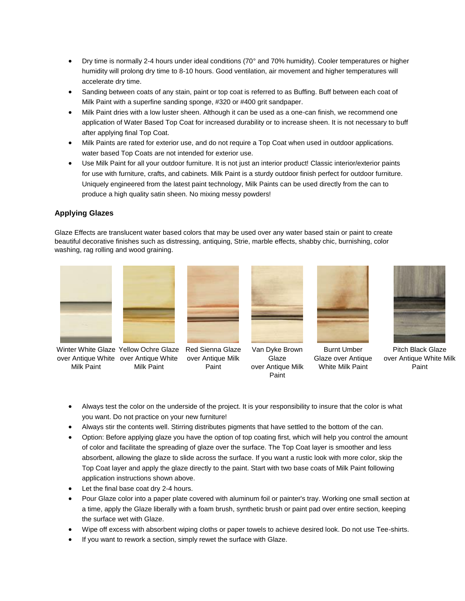- Dry time is normally 2-4 hours under ideal conditions (70° and 70% humidity). Cooler temperatures or higher humidity will prolong dry time to 8-10 hours. Good ventilation, air movement and higher temperatures will accelerate dry time.
- Sanding between coats of any stain, paint or top coat is referred to as Buffing. Buff between each coat of Milk Paint with a superfine sanding sponge, #320 or #400 grit sandpaper.
- Milk Paint dries with a low luster sheen. Although it can be used as a one-can finish, we recommend one application of Water Based Top Coat for increased durability or to increase sheen. It is not necessary to buff after applying final Top Coat.
- Milk Paints are rated for exterior use, and do not require a Top Coat when used in outdoor applications. water based Top Coats are not intended for exterior use.
- Use Milk Paint for all your outdoor furniture. It is not just an interior product! Classic interior/exterior paints for use with furniture, crafts, and cabinets. Milk Paint is a sturdy outdoor finish perfect for outdoor furniture. Uniquely engineered from the latest paint technology, Milk Paints can be used directly from the can to produce a high quality satin sheen. No mixing messy powders!

# **Applying Glazes**

Glaze Effects are translucent water based colors that may be used over any water based stain or paint to create beautiful decorative finishes such as distressing, antiquing, Strie, marble effects, shabby chic, burnishing, color washing, rag rolling and wood graining.



Winter White Glaze Yellow Ochre Glaze Red Sienna Glaze over Antique White over Antique White Milk Paint



over Antique Milk Paint



Van Dyke Brown **Glaze** over Antique Milk Paint



Burnt Umber Glaze over Antique White Milk Paint



Pitch Black Glaze over Antique White Milk Paint

- Always test the color on the underside of the project. It is your responsibility to insure that the color is what you want. Do not practice on your new furniture!
- Always stir the contents well. Stirring distributes pigments that have settled to the bottom of the can.
- Option: Before applying glaze you have the option of top coating first, which will help you control the amount of color and facilitate the spreading of glaze over the surface. The Top Coat layer is smoother and less absorbent, allowing the glaze to slide across the surface. If you want a rustic look with more color, skip the Top Coat layer and apply the glaze directly to the paint. Start with two base coats of Milk Paint following application instructions shown above.
- Let the final base coat dry 2-4 hours.
- Pour Glaze color into a paper plate covered with aluminum foil or painter's tray. Working one small section at a time, apply the Glaze liberally with a foam brush, synthetic brush or paint pad over entire section, keeping the surface wet with Glaze.
- Wipe off excess with absorbent wiping cloths or paper towels to achieve desired look. Do not use Tee-shirts.
- If you want to rework a section, simply rewet the surface with Glaze.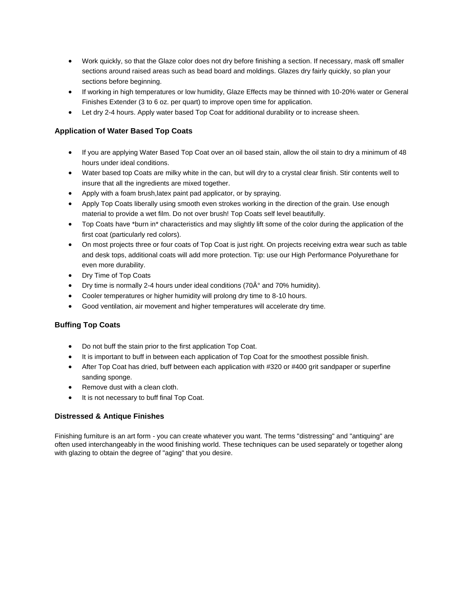- Work quickly, so that the Glaze color does not dry before finishing a section. If necessary, mask off smaller sections around raised areas such as bead board and moldings. Glazes dry fairly quickly, so plan your sections before beginning.
- If working in high temperatures or low humidity, Glaze Effects may be thinned with 10-20% water or General Finishes Extender (3 to 6 oz. per quart) to improve open time for application.
- Let dry 2-4 hours. Apply water based Top Coat for additional durability or to increase sheen.

# **Application of Water Based Top Coats**

- If you are applying Water Based Top Coat over an oil based stain, allow the oil stain to dry a minimum of 48 hours under ideal conditions.
- Water based top Coats are milky white in the can, but will dry to a crystal clear finish. Stir contents well to insure that all the ingredients are mixed together.
- Apply with a foam brush,latex paint pad applicator, or by spraying.
- Apply Top Coats liberally using smooth even strokes working in the direction of the grain. Use enough material to provide a wet film. Do not over brush! Top Coats self level beautifully.
- Top Coats have \*burn in\* characteristics and may slightly lift some of the color during the application of the first coat (particularly red colors).
- On most projects three or four coats of Top Coat is just right. On projects receiving extra wear such as table and desk tops, additional coats will add more protection. Tip: use our High Performance Polyurethane for even more durability.
- Dry Time of Top Coats
- Dry time is normally 2-4 hours under ideal conditions (70 $A^{\circ}$  and 70% humidity).
- Cooler temperatures or higher humidity will prolong dry time to 8-10 hours.
- Good ventilation, air movement and higher temperatures will accelerate dry time.

### **Buffing Top Coats**

- Do not buff the stain prior to the first application Top Coat.
- It is important to buff in between each application of Top Coat for the smoothest possible finish.
- After Top Coat has dried, buff between each application with #320 or #400 grit sandpaper or superfine sanding sponge.
- Remove dust with a clean cloth.
- It is not necessary to buff final Top Coat.

### **Distressed & Antique Finishes**

Finishing furniture is an art form - you can create whatever you want. The terms "distressing" and "antiquing" are often used interchangeably in the wood finishing world. These techniques can be used separately or together along with glazing to obtain the degree of "aging" that you desire.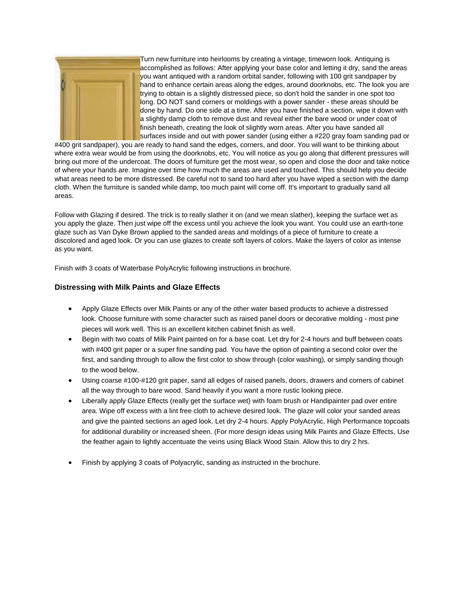

Turn new furniture into heirlooms by creating a vintage, timeworn look. Antiquing is accomplished as follows: After applying your base color and letting it dry, sand the areas you want antiqued with a random orbital sander, following with 100 grit sandpaper by hand to enhance certain areas along the edges, around doorknobs, etc. The look you are trying to obtain is a slightly distressed piece, so don't hold the sander in one spot too long. DO NOT sand corners or moldings with a power sander - these areas should be done by hand. Do one side at a time. After you have finished a section, wipe it down with a slightly damp cloth to remove dust and reveal either the bare wood or under coat of finish beneath, creating the look of slightly worn areas. After you have sanded all surfaces inside and out with power sander (using either a #220 gray foam sanding pad or

#400 grit sandpaper), you are ready to hand sand the edges, corners, and door. You will want to be thinking about where extra wear would be from using the doorknobs, etc. You will notice as you go along that different pressures will bring out more of the undercoat. The doors of furniture get the most wear, so open and close the door and take notice of where your hands are. Imagine over time how much the areas are used and touched. This should help you decide what areas need to be more distressed. Be careful not to sand too hard after you have wiped a section with the damp cloth. When the furniture is sanded while damp, too much paint will come off. It's important to gradually sand all areas.

Follow with Glazing if desired. The trick is to really slather it on (and we mean slather), keeping the surface wet as you apply the glaze. Then just wipe off the excess until you achieve the look you want. You could use an earth-tone glaze such as Van Dyke Brown applied to the sanded areas and moldings of a piece of furniture to create a discolored and aged look. Or you can use glazes to create soft layers of colors. Make the layers of color as intense as you want.

Finish with 3 coats of Waterbase PolyAcrylic following instructions in brochure.

## **Distressing with Milk Paints and Glaze Effects**

- Apply Glaze Effects over Milk Paints or any of the other water based products to achieve a distressed look. Choose furniture with some character such as raised panel doors or decorative molding - most pine pieces will work well. This is an excellent kitchen cabinet finish as well.
- Begin with two coats of Milk Paint painted on for a base coat. Let dry for 2-4 hours and buff between coats with #400 grit paper or a super fine sanding pad. You have the option of painting a second color over the first, and sanding through to allow the first color to show through (color washing), or simply sanding though to the wood below.
- Using coarse #100-#120 grit paper, sand all edges of raised panels, doors, drawers and corners of cabinet all the way through to bare wood. Sand heavily if you want a more rustic looking piece.
- Liberally apply Glaze Effects (really get the surface wet) with foam brush or Handipainter pad over entire area. Wipe off excess with a lint free cloth to achieve desired look. The glaze will color your sanded areas and give the painted sections an aged look. Let dry 2-4 hours. Apply PolyAcrylic, High Performance topcoats for additional durability or increased sheen. (For more design ideas using Milk Paints and Glaze Effects, Use the feather again to lightly accentuate the veins using Black Wood Stain. Allow this to dry 2 hrs.
- Finish by applying 3 coats of Polyacrylic, sanding as instructed in the brochure.